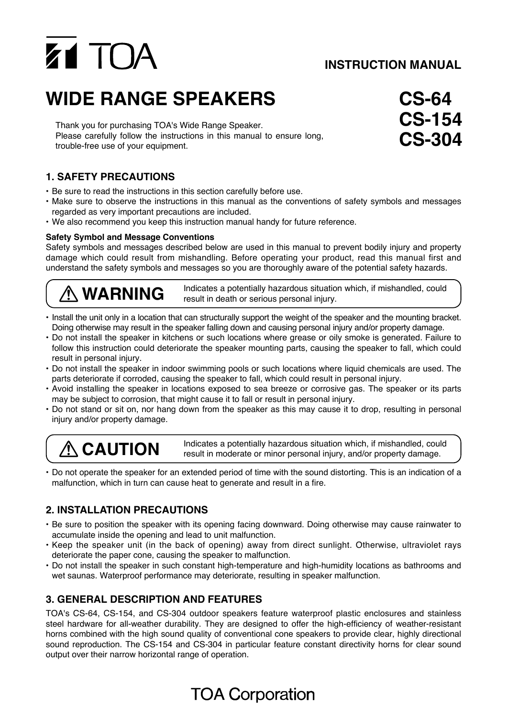# Z1 TOA

## **INSTRUCTION MANUAL**

# **WIDE RANGE SPEAKERS**

Thank you for purchasing TOA's Wide Range Speaker. Please carefully follow the instructions in this manual to ensure long, trouble-free use of your equipment.

### **1. SAFETY PRECAUTIONS**

- Be sure to read the instructions in this section carefully before use.
- Make sure to observe the instructions in this manual as the conventions of safety symbols and messages regarded as very important precautions are included.
- We also recommend you keep this instruction manual handy for future reference.

#### **Safety Symbol and Message Conventions**

Safety symbols and messages described below are used in this manual to prevent bodily injury and property damage which could result from mishandling. Before operating your product, read this manual first and understand the safety symbols and messages so you are thoroughly aware of the potential safety hazards.

**WARNING** Indicates a potentially hazardous situation which, if mishandled, could result in death or serious personal injury.

- Install the unit only in a location that can structurally support the weight of the speaker and the mounting bracket. Doing otherwise may result in the speaker falling down and causing personal injury and/or property damage.
- Do not install the speaker in kitchens or such locations where grease or oily smoke is generated. Failure to follow this instruction could deteriorate the speaker mounting parts, causing the speaker to fall, which could result in personal injury.
- Do not install the speaker in indoor swimming pools or such locations where liquid chemicals are used. The parts deteriorate if corroded, causing the speaker to fall, which could result in personal injury.
- Avoid installing the speaker in locations exposed to sea breeze or corrosive gas. The speaker or its parts may be subject to corrosion, that might cause it to fall or result in personal injury.
- Do not stand or sit on, nor hang down from the speaker as this may cause it to drop, resulting in personal injury and/or property damage.

**CAUTION** Indicates a potentially hazardous situation which, if mishandled, could result in moderate or minor personal injury, and/or property damage.

• Do not operate the speaker for an extended period of time with the sound distorting. This is an indication of a malfunction, which in turn can cause heat to generate and result in a fire.

#### **2. INSTALLATION PRECAUTIONS**

- Be sure to position the speaker with its opening facing downward. Doing otherwise may cause rainwater to accumulate inside the opening and lead to unit malfunction.
- Keep the speaker unit (in the back of opening) away from direct sunlight. Otherwise, ultraviolet rays deteriorate the paper cone, causing the speaker to malfunction.
- Do not install the speaker in such constant high-temperature and high-humidity locations as bathrooms and wet saunas. Waterproof performance may deteriorate, resulting in speaker malfunction.

#### **3. GENERAL DESCRIPTION AND FEATURES**

TOA's CS-64, CS-154, and CS-304 outdoor speakers feature waterproof plastic enclosures and stainless steel hardware for all-weather durability. They are designed to offer the high-efficiency of weather-resistant horns combined with the high sound quality of conventional cone speakers to provide clear, highly directional sound reproduction. The CS-154 and CS-304 in particular feature constant directivity horns for clear sound output over their narrow horizontal range of operation.

# **CS-64 CS-154 CS-304**

## **TOA Corporation**